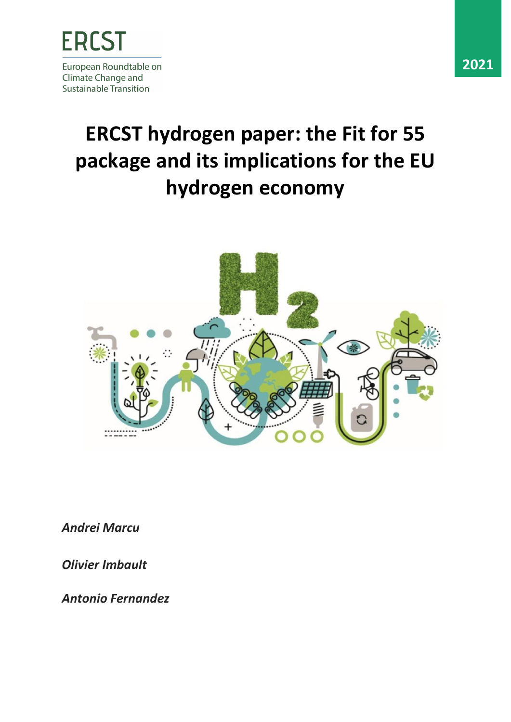

# **ERCST hydrogen paper: the Fit for 55 package and its implications for the EU hydrogen economy**



*Andrei Marcu*

*Olivier Imbault* 

*Antonio Fernandez*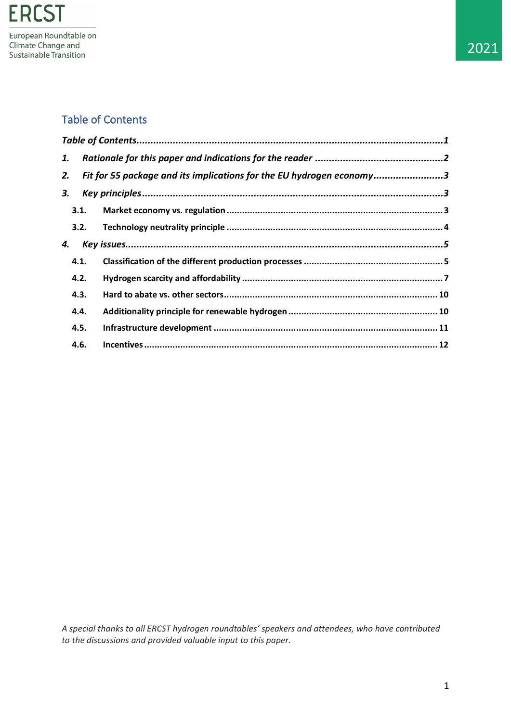# <span id="page-1-0"></span>Table of Contents

| 1. |                                                                            |  |  |  |  |  |  |
|----|----------------------------------------------------------------------------|--|--|--|--|--|--|
|    | Fit for 55 package and its implications for the EU hydrogen economy3<br>2. |  |  |  |  |  |  |
| 3. |                                                                            |  |  |  |  |  |  |
|    | 3.1.                                                                       |  |  |  |  |  |  |
|    | 3.2.                                                                       |  |  |  |  |  |  |
| 4. |                                                                            |  |  |  |  |  |  |
|    | 4.1.                                                                       |  |  |  |  |  |  |
|    | 4.2.                                                                       |  |  |  |  |  |  |
|    | 4.3.                                                                       |  |  |  |  |  |  |
|    | 4.4.                                                                       |  |  |  |  |  |  |
|    | 4.5.                                                                       |  |  |  |  |  |  |
|    | 4.6.                                                                       |  |  |  |  |  |  |

*A special thanks to all ERCST hydrogen roundtables' speakers and attendees, who have contributed to the discussions and provided valuable input to this paper.*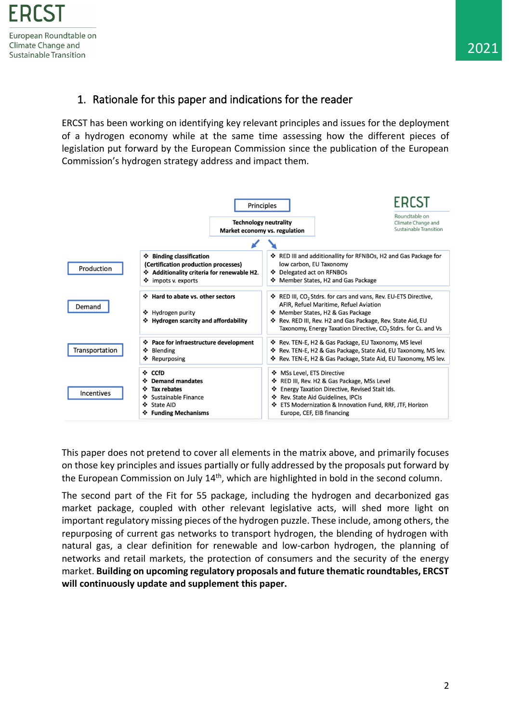# <span id="page-2-0"></span>1. Rationale for this paper and indications for the reader

ERCST has been working on identifying key relevant principles and issues for the deployment of a hydrogen economy while at the same time assessing how the different pieces of legislation put forward by the European Commission since the publication of the European Commission's hydrogen strategy address and impact them.



This paper does not pretend to cover all elements in the matrix above, and primarily focuses on those key principles and issues partially or fully addressed by the proposals put forward by the European Commission on July 14<sup>th</sup>, which are highlighted in bold in the second column.

The second part of the Fit for 55 package, including the hydrogen and decarbonized gas market package, coupled with other relevant legislative acts, will shed more light on important regulatory missing pieces of the hydrogen puzzle. These include, among others, the repurposing of current gas networks to transport hydrogen, the blending of hydrogen with natural gas, a clear definition for renewable and low-carbon hydrogen, the planning of networks and retail markets, the protection of consumers and the security of the energy market. **Building on upcoming regulatory proposals and future thematic roundtables, ERCST will continuously update and supplement this paper.**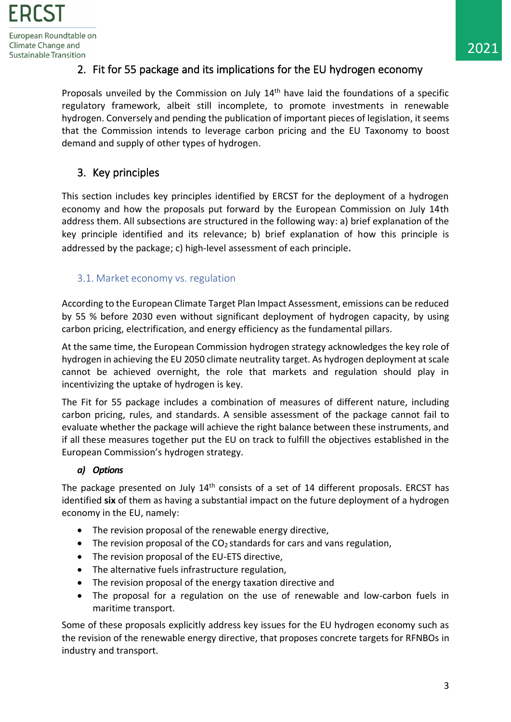# <span id="page-3-0"></span>2. Fit for 55 package and its implications for the EU hydrogen economy

Proposals unveiled by the Commission on July 14<sup>th</sup> have laid the foundations of a specific regulatory framework, albeit still incomplete, to promote investments in renewable hydrogen. Conversely and pending the publication of important pieces of legislation, it seems that the Commission intends to leverage carbon pricing and the EU Taxonomy to boost demand and supply of other types of hydrogen.

# <span id="page-3-1"></span>3. Key principles

This section includes key principles identified by ERCST for the deployment of a hydrogen economy and how the proposals put forward by the European Commission on July 14th address them. All subsections are structured in the following way: a) brief explanation of the key principle identified and its relevance; b) brief explanation of how this principle is addressed by the package; c) high-level assessment of each principle.

# <span id="page-3-2"></span>3.1. Market economy vs. regulation

According to the European Climate Target Plan Impact Assessment, emissions can be reduced by 55 % before 2030 even without significant deployment of hydrogen capacity, by using carbon pricing, electrification, and energy efficiency as the fundamental pillars.

At the same time, the European Commission hydrogen strategy acknowledges the key role of hydrogen in achieving the EU 2050 climate neutrality target. As hydrogen deployment at scale cannot be achieved overnight, the role that markets and regulation should play in incentivizing the uptake of hydrogen is key.

The Fit for 55 package includes a combination of measures of different nature, including carbon pricing, rules, and standards. A sensible assessment of the package cannot fail to evaluate whether the package will achieve the right balance between these instruments, and if all these measures together put the EU on track to fulfill the objectives established in the European Commission's hydrogen strategy.

# *a) Options*

The package presented on July  $14<sup>th</sup>$  consists of a set of 14 different proposals. ERCST has identified **six** of them as having a substantial impact on the future deployment of a hydrogen economy in the EU, namely:

- The revision proposal of the renewable energy directive,
- The revision proposal of the  $CO<sub>2</sub>$  standards for cars and vans regulation,
- The revision proposal of the EU-ETS directive,
- The alternative fuels infrastructure regulation,
- The revision proposal of the energy taxation directive and
- The proposal for a regulation on the use of renewable and low-carbon fuels in maritime transport.

Some of these proposals explicitly address key issues for the EU hydrogen economy such as the revision of the renewable energy directive, that proposes concrete targets for RFNBOs in industry and transport.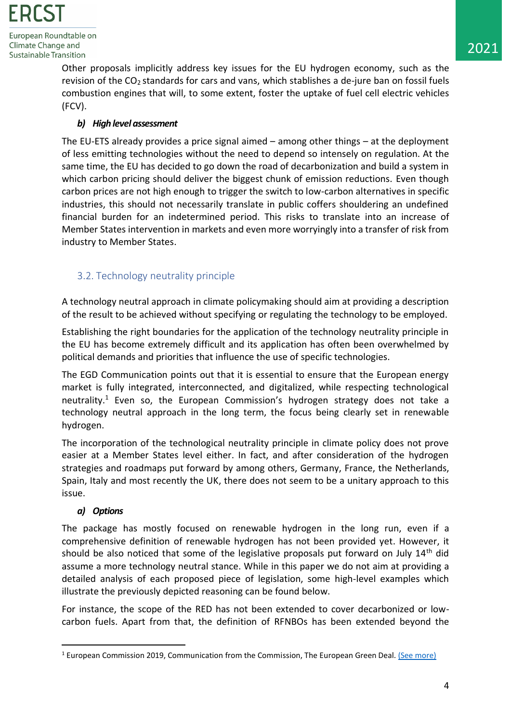> Other proposals implicitly address key issues for the EU hydrogen economy, such as the revision of the  $CO<sub>2</sub>$  standards for cars and vans, which stablishes a de-jure ban on fossil fuels combustion engines that will, to some extent, foster the uptake of fuel cell electric vehicles (FCV).

# *b) High level assessment*

The EU-ETS already provides a price signal aimed – among other things – at the deployment of less emitting technologies without the need to depend so intensely on regulation. At the same time, the EU has decided to go down the road of decarbonization and build a system in which carbon pricing should deliver the biggest chunk of emission reductions. Even though carbon prices are not high enough to trigger the switch to low-carbon alternatives in specific industries, this should not necessarily translate in public coffers shouldering an undefined financial burden for an indetermined period. This risks to translate into an increase of Member States intervention in markets and even more worryingly into a transfer of risk from industry to Member States.

# <span id="page-4-0"></span>3.2. Technology neutrality principle

A technology neutral approach in climate policymaking should aim at providing a description of the result to be achieved without specifying or regulating the technology to be employed.

Establishing the right boundaries for the application of the technology neutrality principle in the EU has become extremely difficult and its application has often been overwhelmed by political demands and priorities that influence the use of specific technologies.

The EGD Communication points out that it is essential to ensure that the European energy market is fully integrated, interconnected, and digitalized, while respecting technological neutrality.<sup>1</sup> Even so, the European Commission's hydrogen strategy does not take a technology neutral approach in the long term, the focus being clearly set in renewable hydrogen.

The incorporation of the technological neutrality principle in climate policy does not prove easier at a Member States level either. In fact, and after consideration of the hydrogen strategies and roadmaps put forward by among others, Germany, France, the Netherlands, Spain, Italy and most recently the UK, there does not seem to be a unitary approach to this issue.

# *a) Options*

The package has mostly focused on renewable hydrogen in the long run, even if a comprehensive definition of renewable hydrogen has not been provided yet. However, it should be also noticed that some of the legislative proposals put forward on July 14<sup>th</sup> did assume a more technology neutral stance. While in this paper we do not aim at providing a detailed analysis of each proposed piece of legislation, some high-level examples which illustrate the previously depicted reasoning can be found below.

For instance, the scope of the RED has not been extended to cover decarbonized or lowcarbon fuels. Apart from that, the definition of RFNBOs has been extended beyond the

<sup>&</sup>lt;sup>1</sup> European Commission 2019, Communication from the Commission, The European Green Deal. [\(See more\)](https://eur-lex.europa.eu/legal-content/EN/TXT/?qid=1576150542719&uri=COM%3A2019%3A640%3AFIN)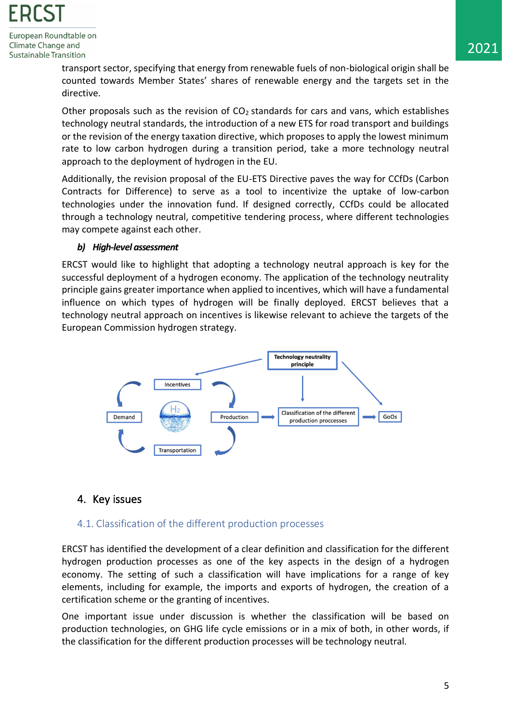

transport sector, specifying that energy from renewable fuels of non-biological origin shall be counted towards Member States' shares of renewable energy and the targets set in the directive.

Other proposals such as the revision of  $CO<sub>2</sub>$  standards for cars and vans, which establishes technology neutral standards, the introduction of a new ETS for road transport and buildings or the revision of the energy taxation directive, which proposes to apply the lowest minimum rate to low carbon hydrogen during a transition period, take a more technology neutral approach to the deployment of hydrogen in the EU.

Additionally, the revision proposal of the EU-ETS Directive paves the way for CCfDs (Carbon Contracts for Difference) to serve as a tool to incentivize the uptake of low-carbon technologies under the innovation fund. If designed correctly, CCfDs could be allocated through a technology neutral, competitive tendering process, where different technologies may compete against each other.

#### *b) High-level assessment*

ERCST would like to highlight that adopting a technology neutral approach is key for the successful deployment of a hydrogen economy. The application of the technology neutrality principle gains greater importance when applied to incentives, which will have a fundamental influence on which types of hydrogen will be finally deployed. ERCST believes that a technology neutral approach on incentives is likewise relevant to achieve the targets of the European Commission hydrogen strategy.



# <span id="page-5-0"></span>4. Key issues

# <span id="page-5-1"></span>4.1. Classification of the different production processes

ERCST has identified the development of a clear definition and classification for the different hydrogen production processes as one of the key aspects in the design of a hydrogen economy. The setting of such a classification will have implications for a range of key elements, including for example, the imports and exports of hydrogen, the creation of a certification scheme or the granting of incentives.

One important issue under discussion is whether the classification will be based on production technologies, on GHG life cycle emissions or in a mix of both, in other words, if the classification for the different production processes will be technology neutral.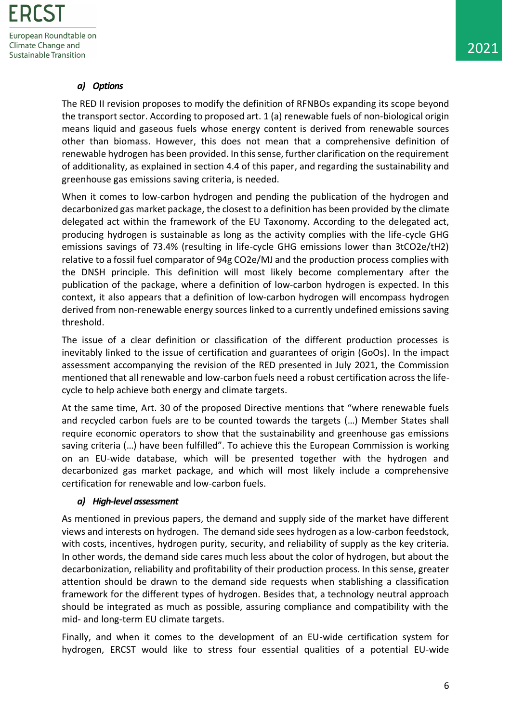# *a) Options*

The RED II revision proposes to modify the definition of RFNBOs expanding its scope beyond the transport sector. According to proposed art. 1 (a) renewable fuels of non-biological origin means liquid and gaseous fuels whose energy content is derived from renewable sources other than biomass. However, this does not mean that a comprehensive definition of renewable hydrogen has been provided. In this sense, further clarification on the requirement of additionality, as explained in section 4.4 of this paper, and regarding the sustainability and greenhouse gas emissions saving criteria, is needed.

When it comes to low-carbon hydrogen and pending the publication of the hydrogen and decarbonized gas market package, the closest to a definition has been provided by the climate delegated act within the framework of the EU Taxonomy. According to the delegated act, producing hydrogen is sustainable as long as the activity complies with the life-cycle GHG emissions savings of 73.4% (resulting in life-cycle GHG emissions lower than 3tCO2e/tH2) relative to a fossil fuel comparator of 94g CO2e/MJ and the production process complies with the DNSH principle. This definition will most likely become complementary after the publication of the package, where a definition of low-carbon hydrogen is expected. In this context, it also appears that a definition of low-carbon hydrogen will encompass hydrogen derived from non-renewable energy sources linked to a currently undefined emissions saving threshold.

The issue of a clear definition or classification of the different production processes is inevitably linked to the issue of certification and guarantees of origin (GoOs). In the impact assessment accompanying the revision of the RED presented in July 2021, the Commission mentioned that all renewable and low-carbon fuels need a robust certification across the lifecycle to help achieve both energy and climate targets.

At the same time, Art. 30 of the proposed Directive mentions that "where renewable fuels and recycled carbon fuels are to be counted towards the targets (…) Member States shall require economic operators to show that the sustainability and greenhouse gas emissions saving criteria (…) have been fulfilled". To achieve this the European Commission is working on an EU-wide database, which will be presented together with the hydrogen and decarbonized gas market package, and which will most likely include a comprehensive certification for renewable and low-carbon fuels.

#### *a) High-level assessment*

As mentioned in previous papers, the demand and supply side of the market have different views and interests on hydrogen. The demand side sees hydrogen as a low-carbon feedstock, with costs, incentives, hydrogen purity, security, and reliability of supply as the key criteria. In other words, the demand side cares much less about the color of hydrogen, but about the decarbonization, reliability and profitability of their production process. In this sense, greater attention should be drawn to the demand side requests when stablishing a classification framework for the different types of hydrogen. Besides that, a technology neutral approach should be integrated as much as possible, assuring compliance and compatibility with the mid- and long-term EU climate targets.

Finally, and when it comes to the development of an EU-wide certification system for hydrogen, ERCST would like to stress four essential qualities of a potential EU-wide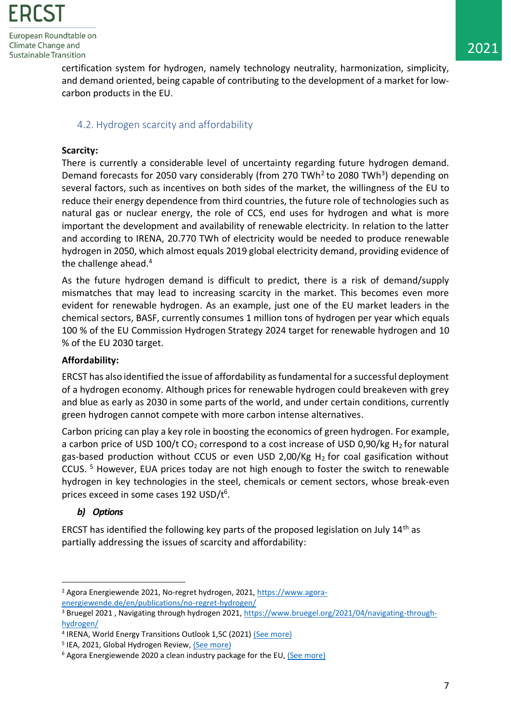

> certification system for hydrogen, namely technology neutrality, harmonization, simplicity, and demand oriented, being capable of contributing to the development of a market for lowcarbon products in the EU.

# <span id="page-7-0"></span>4.2. Hydrogen scarcity and affordability

#### **Scarcity:**

There is currently a considerable level of uncertainty regarding future hydrogen demand. Demand forecasts for 2050 vary considerably (from 270 TWh<sup>2</sup> to 2080 TWh<sup>3</sup>) depending on several factors, such as incentives on both sides of the market, the willingness of the EU to reduce their energy dependence from third countries, the future role of technologies such as natural gas or nuclear energy, the role of CCS, end uses for hydrogen and what is more important the development and availability of renewable electricity. In relation to the latter and according to IRENA, 20.770 TWh of electricity would be needed to produce renewable hydrogen in 2050, which almost equals 2019 global electricity demand, providing evidence of the challenge ahead. 4

As the future hydrogen demand is difficult to predict, there is a risk of demand/supply mismatches that may lead to increasing scarcity in the market. This becomes even more evident for renewable hydrogen. As an example, just one of the EU market leaders in the chemical sectors, BASF, currently consumes 1 million tons of hydrogen per year which equals 100 % of the EU Commission Hydrogen Strategy 2024 target for renewable hydrogen and 10 % of the EU 2030 target.

#### **Affordability:**

ERCST has also identified the issue of affordability as fundamental for a successful deployment of a hydrogen economy. Although prices for renewable hydrogen could breakeven with grey and blue as early as 2030 in some parts of the world, and under certain conditions, currently green hydrogen cannot compete with more carbon intense alternatives.

Carbon pricing can play a key role in boosting the economics of green hydrogen. For example, a carbon price of USD 100/t CO<sub>2</sub> correspond to a cost increase of USD 0,90/kg H<sub>2</sub> for natural gas-based production without CCUS or even USD 2,00/Kg H2 for coal gasification without CCUS. <sup>5</sup> However, EUA prices today are not high enough to foster the switch to renewable hydrogen in key technologies in the steel, chemicals or cement sectors, whose break-even prices exceed in some cases 192 USD/t<sup>6</sup>.

# *b) Options*

ERCST has identified the following key parts of the proposed legislation on July 14th as partially addressing the issues of scarcity and affordability:

<sup>2</sup> Agora Energiewende 2021, No-regret hydrogen, 2021, [https://www.agora](https://www.agora-energiewende.de/en/publications/no-regret-hydrogen/)[energiewende.de/en/publications/no-regret-hydrogen/](https://www.agora-energiewende.de/en/publications/no-regret-hydrogen/)

<sup>3</sup> Bruegel 2021 , Navigating through hydrogen 2021, [https://www.bruegel.org/2021/04/navigating-through](https://www.bruegel.org/2021/04/navigating-through-hydrogen/)[hydrogen/](https://www.bruegel.org/2021/04/navigating-through-hydrogen/)

<sup>&</sup>lt;sup>4</sup> IRENA, World Energy Transitions Outlook 1,5C (2021) [\(See more\)](https://irena.org/-/media/Files/IRENA/Agency/Publication/2021/Jun/IRENA_World_Energy_Transitions_Outlook_2021.pdf)

<sup>&</sup>lt;sup>5</sup> IEA, 2021, Global Hydrogen Review, [\(See more\)](https://iea.blob.core.windows.net/assets/3a2ed84c-9ea0-458c-9421-d166a9510bc0/GlobalHydrogenReview2021.pdf)

<sup>&</sup>lt;sup>6</sup> Agora Energiewende 2020 a clean industry package for the EU, [\(See more\)](https://www.agora-energiewende.de/en/publications/a-clean-industry-package-for-the-eu-impulse/)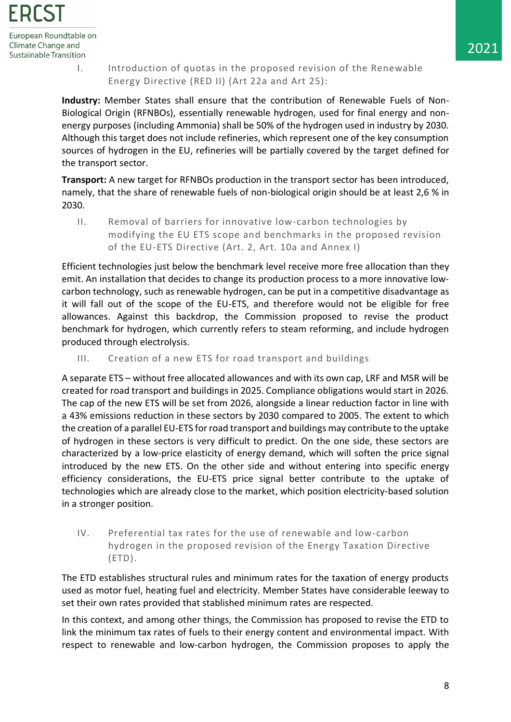

- 
- I. Introduction of quotas in the proposed revision of the Renewable Energy Directive (RED II) (Art 22a and Art 25):

**Industry:** Member States shall ensure that the contribution of Renewable Fuels of Non-Biological Origin (RFNBOs), essentially renewable hydrogen, used for final energy and nonenergy purposes (including Ammonia) shall be 50% of the hydrogen used in industry by 2030. Although this target does not include refineries, which represent one of the key consumption sources of hydrogen in the EU, refineries will be partially covered by the target defined for the transport sector.

**Transport:** A new target for RFNBOs production in the transport sector has been introduced, namely, that the share of renewable fuels of non-biological origin should be at least 2,6 % in 2030.

II. Removal of barriers for innovative low-carbon technologies by modifying the EU ETS scope and benchmarks in the proposed revision of the EU-ETS Directive (Art. 2, Art. 10a and Annex I)

Efficient technologies just below the benchmark level receive more free allocation than they emit. An installation that decides to change its production process to a more innovative lowcarbon technology, such as renewable hydrogen, can be put in a competitive disadvantage as it will fall out of the scope of the EU-ETS, and therefore would not be eligible for free allowances. Against this backdrop, the Commission proposed to revise the product benchmark for hydrogen, which currently refers to steam reforming, and include hydrogen produced through electrolysis.

III. Creation of a new ETS for road transport and buildings

A separate ETS – without free allocated allowances and with its own cap, LRF and MSR will be created for road transport and buildings in 2025. Compliance obligations would start in 2026. The cap of the new ETS will be set from 2026, alongside a linear reduction factor in line with a 43% emissions reduction in these sectors by 2030 compared to 2005. The extent to which the creation of a parallel EU-ETS for road transport and buildings may contribute to the uptake of hydrogen in these sectors is very difficult to predict. On the one side, these sectors are characterized by a low-price elasticity of energy demand, which will soften the price signal introduced by the new ETS. On the other side and without entering into specific energy efficiency considerations, the EU-ETS price signal better contribute to the uptake of technologies which are already close to the market, which position electricity-based solution in a stronger position.

IV. Preferential tax rates for the use of renewable and low-carbon hydrogen in the proposed revision of the Energy Taxation Directive (ETD).

The ETD establishes structural rules and minimum rates for the taxation of energy products used as motor fuel, heating fuel and electricity. Member States have considerable leeway to set their own rates provided that stablished minimum rates are respected.

In this context, and among other things, the Commission has proposed to revise the ETD to link the minimum tax rates of fuels to their energy content and environmental impact. With respect to renewable and low-carbon hydrogen, the Commission proposes to apply the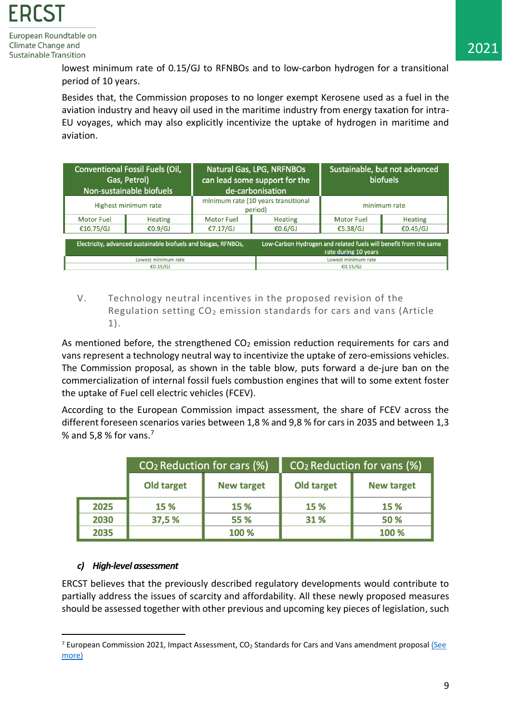> lowest minimum rate of 0.15/GJ to RFNBOs and to low-carbon hydrogen for a transitional period of 10 years.

> Besides that, the Commission proposes to no longer exempt Kerosene used as a fuel in the aviation industry and heavy oil used in the maritime industry from energy taxation for intra-EU voyages, which may also explicitly incentivize the uptake of hydrogen in maritime and aviation.

|                   | <b>Conventional Fossil Fuels (Oil,</b><br>Gas, Petrol)<br>Non-sustainable biofuels | Natural Gas, LPG, NRFNBOs<br>can lead some support for the<br>de-carbonisation |                                                                                          | Sustainable, but not advanced<br><b>biofuels</b> |                |
|-------------------|------------------------------------------------------------------------------------|--------------------------------------------------------------------------------|------------------------------------------------------------------------------------------|--------------------------------------------------|----------------|
|                   | Highest minimum rate                                                               | minimum rate (10 years transitional<br>period)                                 |                                                                                          | minimum rate                                     |                |
| <b>Motor Fuel</b> | <b>Heating</b>                                                                     | <b>Motor Fuel</b>                                                              | <b>Heating</b>                                                                           | <b>Motor Fuel</b>                                | <b>Heating</b> |
| €10.75/GJ         | €0.9/GJ                                                                            | €7.17/GJ                                                                       | €0.6/GJ                                                                                  | €5.38/GJ                                         | €0.45/GJ       |
|                   | Electricity, advanced sustainable biofuels and biogas, RFNBOs,                     |                                                                                | Low-Carbon Hydrogen and related fuels will benefit from the same<br>rate during 10 years |                                                  |                |
|                   | Lowest minimum rate                                                                |                                                                                | Lowest minimum rate                                                                      |                                                  |                |
|                   | €0.15/GJ                                                                           |                                                                                | €0.15/GJ                                                                                 |                                                  |                |

V. Technology neutral incentives in the proposed revision of the Regulation setting  $CO<sub>2</sub>$  emission standards for cars and vans (Article 1).

As mentioned before, the strengthened  $CO<sub>2</sub>$  emission reduction requirements for cars and vans represent a technology neutral way to incentivize the uptake of zero-emissions vehicles. The Commission proposal, as shown in the table blow, puts forward a de-jure ban on the commercialization of internal fossil fuels combustion engines that will to some extent foster the uptake of Fuel cell electric vehicles (FCEV).

According to the European Commission impact assessment, the share of FCEV across the different foreseen scenarios varies between 1,8 % and 9,8 % for cars in 2035 and between 1,3 % and 5,8 % for vans. $7$ 

|      | CO <sub>2</sub> Reduction for cars (%) |                   | CO <sub>2</sub> Reduction for vans (%) |                   |  |
|------|----------------------------------------|-------------------|----------------------------------------|-------------------|--|
|      | Old target                             | <b>New target</b> | <b>Old target</b>                      | <b>New target</b> |  |
| 2025 | 15 %                                   | 15 %              | 15 %                                   | 15 %              |  |
| 2030 | 37,5 %                                 | 55 %              | 31 %                                   | 50 %              |  |
| 2035 |                                        | 100 %             |                                        | 100 %             |  |

#### *c) High-level assessment*

ERCST believes that the previously described regulatory developments would contribute to partially address the issues of scarcity and affordability. All these newly proposed measures should be assessed together with other previous and upcoming key pieces of legislation, such

<sup>&</sup>lt;sup>7</sup> European Commission 2021, Impact Assessment, CO<sub>2</sub> Standards for Cars and Vans amendment proposal (See [more\)](https://ec.europa.eu/info/sites/default/files/amendment-regulation-co2-emission-standards-cars-vans-with-annexes_en.pdf)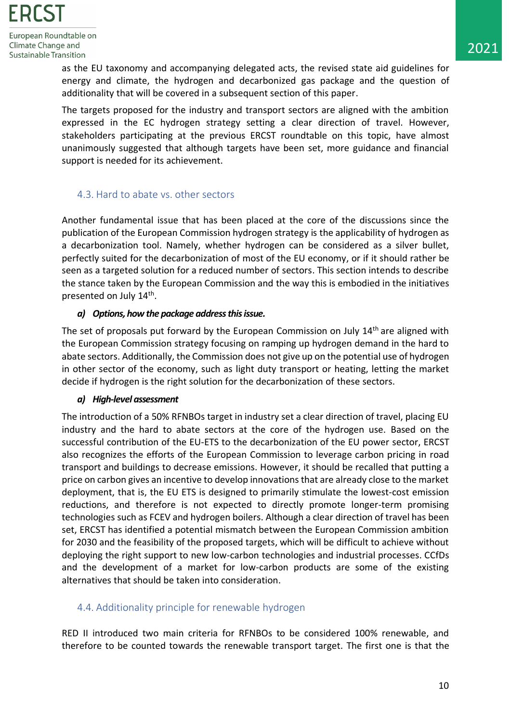> as the EU taxonomy and accompanying delegated acts, the revised state aid guidelines for energy and climate, the hydrogen and decarbonized gas package and the question of additionality that will be covered in a subsequent section of this paper.

> The targets proposed for the industry and transport sectors are aligned with the ambition expressed in the EC hydrogen strategy setting a clear direction of travel. However, stakeholders participating at the previous ERCST roundtable on this topic, have almost unanimously suggested that although targets have been set, more guidance and financial support is needed for its achievement.

# <span id="page-10-0"></span>4.3. Hard to abate vs. other sectors

Another fundamental issue that has been placed at the core of the discussions since the publication of the European Commission hydrogen strategy is the applicability of hydrogen as a decarbonization tool. Namely, whether hydrogen can be considered as a silver bullet, perfectly suited for the decarbonization of most of the EU economy, or if it should rather be seen as a targeted solution for a reduced number of sectors. This section intends to describe the stance taken by the European Commission and the way this is embodied in the initiatives presented on July 14<sup>th</sup>.

#### *a) Options, how the package address thisissue.*

The set of proposals put forward by the European Commission on July 14<sup>th</sup> are aligned with the European Commission strategy focusing on ramping up hydrogen demand in the hard to abate sectors. Additionally, the Commission does not give up on the potential use of hydrogen in other sector of the economy, such as light duty transport or heating, letting the market decide if hydrogen is the right solution for the decarbonization of these sectors.

# *a) High-level assessment*

The introduction of a 50% RFNBOs target in industry set a clear direction of travel, placing EU industry and the hard to abate sectors at the core of the hydrogen use. Based on the successful contribution of the EU-ETS to the decarbonization of the EU power sector, ERCST also recognizes the efforts of the European Commission to leverage carbon pricing in road transport and buildings to decrease emissions. However, it should be recalled that putting a price on carbon gives an incentive to develop innovations that are already close to the market deployment, that is, the EU ETS is designed to primarily stimulate the lowest-cost emission reductions, and therefore is not expected to directly promote longer-term promising technologies such as FCEV and hydrogen boilers. Although a clear direction of travel has been set, ERCST has identified a potential mismatch between the European Commission ambition for 2030 and the feasibility of the proposed targets, which will be difficult to achieve without deploying the right support to new low-carbon technologies and industrial processes. CCfDs and the development of a market for low-carbon products are some of the existing alternatives that should be taken into consideration.

# <span id="page-10-1"></span>4.4. Additionality principle for renewable hydrogen

RED II introduced two main criteria for RFNBOs to be considered 100% renewable, and therefore to be counted towards the renewable transport target. The first one is that the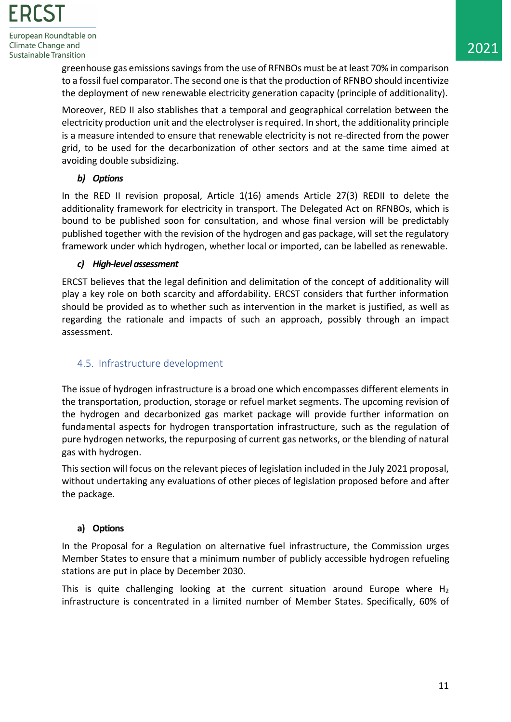> greenhouse gas emissions savings from the use of RFNBOs must be at least 70% in comparison to a fossil fuel comparator. The second one is that the production of RFNBO should incentivize the deployment of new renewable electricity generation capacity (principle of additionality).

> Moreover, RED II also stablishes that a temporal and geographical correlation between the electricity production unit and the electrolyser is required. In short, the additionality principle is a measure intended to ensure that renewable electricity is not re-directed from the power grid, to be used for the decarbonization of other sectors and at the same time aimed at avoiding double subsidizing.

# *b) Options*

In the RED II revision proposal, Article 1(16) amends Article 27(3) REDII to delete the additionality framework for electricity in transport. The Delegated Act on RFNBOs, which is bound to be published soon for consultation, and whose final version will be predictably published together with the revision of the hydrogen and gas package, will set the regulatory framework under which hydrogen, whether local or imported, can be labelled as renewable.

#### *c) High-level assessment*

ERCST believes that the legal definition and delimitation of the concept of additionality will play a key role on both scarcity and affordability. ERCST considers that further information should be provided as to whether such as intervention in the market is justified, as well as regarding the rationale and impacts of such an approach, possibly through an impact assessment.

# <span id="page-11-0"></span>4.5. Infrastructure development

The issue of hydrogen infrastructure is a broad one which encompasses different elements in the transportation, production, storage or refuel market segments. The upcoming revision of the hydrogen and decarbonized gas market package will provide further information on fundamental aspects for hydrogen transportation infrastructure, such as the regulation of pure hydrogen networks, the repurposing of current gas networks, or the blending of natural gas with hydrogen.

This section will focus on the relevant pieces of legislation included in the July 2021 proposal, without undertaking any evaluations of other pieces of legislation proposed before and after the package.

# **a) Options**

In the Proposal for a Regulation on alternative fuel infrastructure, the Commission urges Member States to ensure that a minimum number of publicly accessible hydrogen refueling stations are put in place by December 2030.

This is quite challenging looking at the current situation around Europe where  $H_2$ infrastructure is concentrated in a limited number of Member States. Specifically, 60% of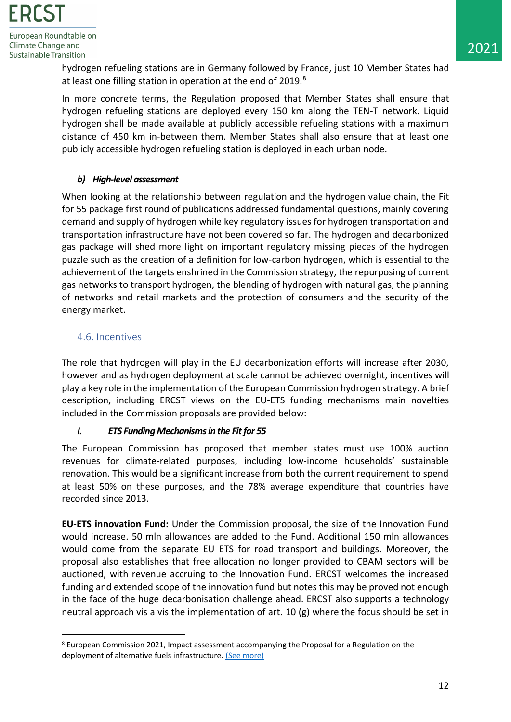> hydrogen refueling stations are in Germany followed by France, just 10 Member States had at least one filling station in operation at the end of 2019.<sup>8</sup>

> In more concrete terms, the Regulation proposed that Member States shall ensure that hydrogen refueling stations are deployed every 150 km along the TEN-T network. Liquid hydrogen shall be made available at publicly accessible refueling stations with a maximum distance of 450 km in-between them. Member States shall also ensure that at least one publicly accessible hydrogen refueling station is deployed in each urban node.

# *b) High-level assessment*

When looking at the relationship between regulation and the hydrogen value chain, the Fit for 55 package first round of publications addressed fundamental questions, mainly covering demand and supply of hydrogen while key regulatory issues for hydrogen transportation and transportation infrastructure have not been covered so far. The hydrogen and decarbonized gas package will shed more light on important regulatory missing pieces of the hydrogen puzzle such as the creation of a definition for low-carbon hydrogen, which is essential to the achievement of the targets enshrined in the Commission strategy, the repurposing of current gas networks to transport hydrogen, the blending of hydrogen with natural gas, the planning of networks and retail markets and the protection of consumers and the security of the energy market.

# <span id="page-12-0"></span>4.6. Incentives

The role that hydrogen will play in the EU decarbonization efforts will increase after 2030, however and as hydrogen deployment at scale cannot be achieved overnight, incentives will play a key role in the implementation of the European Commission hydrogen strategy. A brief description, including ERCST views on the EU-ETS funding mechanisms main novelties included in the Commission proposals are provided below:

#### *I. ETS Funding Mechanisms in the Fit for 55*

The European Commission has proposed that member states must use 100% auction revenues for climate-related purposes, including low-income households' sustainable renovation. This would be a significant increase from both the current requirement to spend at least 50% on these purposes, and the 78% average expenditure that countries have recorded since 2013.

**EU-ETS innovation Fund:** Under the Commission proposal, the size of the Innovation Fund would increase. 50 mln allowances are added to the Fund. Additional 150 mln allowances would come from the separate EU ETS for road transport and buildings. Moreover, the proposal also establishes that free allocation no longer provided to CBAM sectors will be auctioned, with revenue accruing to the Innovation Fund. ERCST welcomes the increased funding and extended scope of the innovation fund but notes this may be proved not enough in the face of the huge decarbonisation challenge ahead. ERCST also supports a technology neutral approach vis a vis the implementation of art. 10  $(g)$  where the focus should be set in

<sup>8</sup> European Commission 2021, Impact assessment accompanying the Proposal for a Regulation on the deployment of alternative fuels infrastructure. [\(See more\)](https://ec.europa.eu/info/strategy/priorities-2019-2024/european-green-deal/delivering-european-green-deal_en)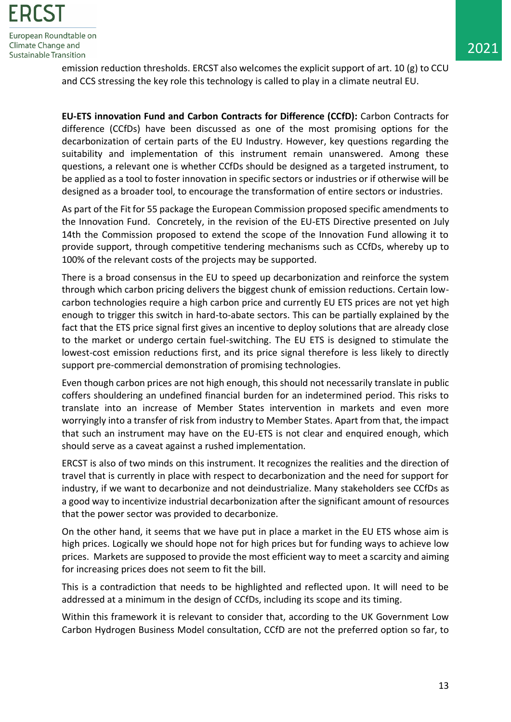> emission reduction thresholds. ERCST also welcomes the explicit support of art. 10 (g) to CCU and CCS stressing the key role this technology is called to play in a climate neutral EU.

> **EU-ETS innovation Fund and Carbon Contracts for Difference (CCfD):** Carbon Contracts for difference (CCfDs) have been discussed as one of the most promising options for the decarbonization of certain parts of the EU Industry. However, key questions regarding the suitability and implementation of this instrument remain unanswered. Among these questions, a relevant one is whether CCfDs should be designed as a targeted instrument, to be applied as a tool to foster innovation in specific sectors or industries or if otherwise will be designed as a broader tool, to encourage the transformation of entire sectors or industries.

> As part of the Fit for 55 package the European Commission proposed specific amendments to the Innovation Fund. Concretely, in the revision of the EU-ETS Directive presented on July 14th the Commission proposed to extend the scope of the Innovation Fund allowing it to provide support, through competitive tendering mechanisms such as CCfDs, whereby up to 100% of the relevant costs of the projects may be supported.

> There is a broad consensus in the EU to speed up decarbonization and reinforce the system through which carbon pricing delivers the biggest chunk of emission reductions. Certain lowcarbon technologies require a high carbon price and currently EU ETS prices are not yet high enough to trigger this switch in hard-to-abate sectors. This can be partially explained by the fact that the ETS price signal first gives an incentive to deploy solutions that are already close to the market or undergo certain fuel-switching. The EU ETS is designed to stimulate the lowest-cost emission reductions first, and its price signal therefore is less likely to directly support pre-commercial demonstration of promising technologies.

> Even though carbon prices are not high enough, this should not necessarily translate in public coffers shouldering an undefined financial burden for an indetermined period. This risks to translate into an increase of Member States intervention in markets and even more worryingly into a transfer of risk from industry to Member States. Apart from that, the impact that such an instrument may have on the EU-ETS is not clear and enquired enough, which should serve as a caveat against a rushed implementation.

> ERCST is also of two minds on this instrument. It recognizes the realities and the direction of travel that is currently in place with respect to decarbonization and the need for support for industry, if we want to decarbonize and not deindustrialize. Many stakeholders see CCfDs as a good way to incentivize industrial decarbonization after the significant amount of resources that the power sector was provided to decarbonize.

> On the other hand, it seems that we have put in place a market in the EU ETS whose aim is high prices. Logically we should hope not for high prices but for funding ways to achieve low prices. Markets are supposed to provide the most efficient way to meet a scarcity and aiming for increasing prices does not seem to fit the bill.

> This is a contradiction that needs to be highlighted and reflected upon. It will need to be addressed at a minimum in the design of CCfDs, including its scope and its timing.

> Within this framework it is relevant to consider that, according to the UK Government Low Carbon Hydrogen Business Model consultation, CCfD are not the preferred option so far, to